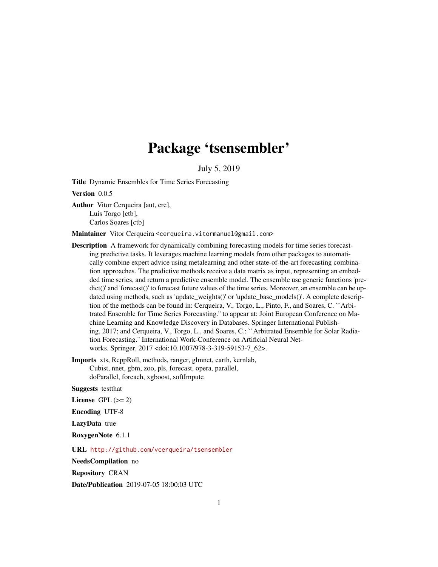## Package 'tsensembler'

July 5, 2019

<span id="page-0-0"></span>Title Dynamic Ensembles for Time Series Forecasting

Version 0.0.5

Author Vitor Cerqueira [aut, cre], Luis Torgo [ctb], Carlos Soares [ctb]

Maintainer Vitor Cerqueira <cerqueira.vitormanuel@gmail.com>

**Description** A framework for dynamically combining forecasting models for time series forecasting predictive tasks. It leverages machine learning models from other packages to automatically combine expert advice using metalearning and other state-of-the-art forecasting combination approaches. The predictive methods receive a data matrix as input, representing an embedded time series, and return a predictive ensemble model. The ensemble use generic functions 'predict()' and 'forecast()' to forecast future values of the time series. Moreover, an ensemble can be updated using methods, such as 'update\_weights()' or 'update\_base\_models()'. A complete description of the methods can be found in: Cerqueira, V., Torgo, L., Pinto, F., and Soares, C. ``Arbitrated Ensemble for Time Series Forecasting.'' to appear at: Joint European Conference on Machine Learning and Knowledge Discovery in Databases. Springer International Publishing, 2017; and Cerqueira, V., Torgo, L., and Soares, C.: ``Arbitrated Ensemble for Solar Radiation Forecasting.'' International Work-Conference on Artificial Neural Networks. Springer, 2017 <doi:10.1007/978-3-319-59153-7\_62>.

Imports xts, RcppRoll, methods, ranger, glmnet, earth, kernlab, Cubist, nnet, gbm, zoo, pls, forecast, opera, parallel, doParallel, foreach, xgboost, softImpute

Suggests testthat

License GPL  $(>= 2)$ 

Encoding UTF-8

LazyData true

RoxygenNote 6.1.1

URL <http://github.com/vcerqueira/tsensembler>

NeedsCompilation no

Repository CRAN

Date/Publication 2019-07-05 18:00:03 UTC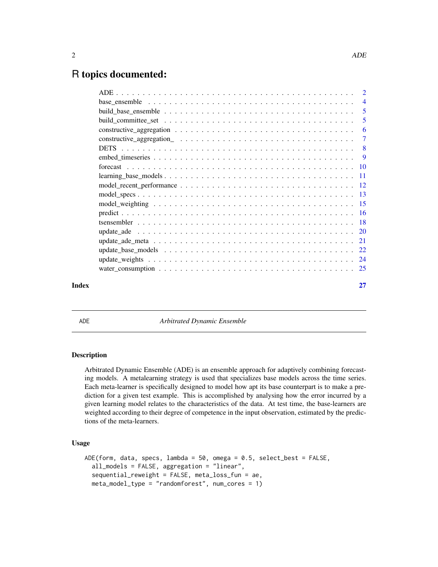## <span id="page-1-0"></span>R topics documented:

|       |                                                                                                                          | -5 |
|-------|--------------------------------------------------------------------------------------------------------------------------|----|
|       |                                                                                                                          |    |
|       |                                                                                                                          | -6 |
|       |                                                                                                                          |    |
|       |                                                                                                                          |    |
|       |                                                                                                                          |    |
|       |                                                                                                                          |    |
|       | $learning\_base\_models \dots \dots \dots \dots \dots \dots \dots \dots \dots \dots \dots \dots \dots \dots \dots \dots$ |    |
|       |                                                                                                                          |    |
|       |                                                                                                                          |    |
|       |                                                                                                                          |    |
|       |                                                                                                                          |    |
|       |                                                                                                                          |    |
|       |                                                                                                                          |    |
|       |                                                                                                                          |    |
|       |                                                                                                                          |    |
|       |                                                                                                                          |    |
|       |                                                                                                                          |    |
| Index |                                                                                                                          | 27 |

<span id="page-1-1"></span>ADE *Arbitrated Dynamic Ensemble*

### Description

Arbitrated Dynamic Ensemble (ADE) is an ensemble approach for adaptively combining forecasting models. A metalearning strategy is used that specializes base models across the time series. Each meta-learner is specifically designed to model how apt its base counterpart is to make a prediction for a given test example. This is accomplished by analysing how the error incurred by a given learning model relates to the characteristics of the data. At test time, the base-learners are weighted according to their degree of competence in the input observation, estimated by the predictions of the meta-learners.

### Usage

```
ADE(form, data, specs, lambda = 50, omega = 0.5, select_best = FALSE,
  all_models = FALSE, aggregation = "linear",
  sequential_reweight = FALSE, meta_loss_fun = ae,
  meta_model_type = "randomforest", num_cores = 1)
```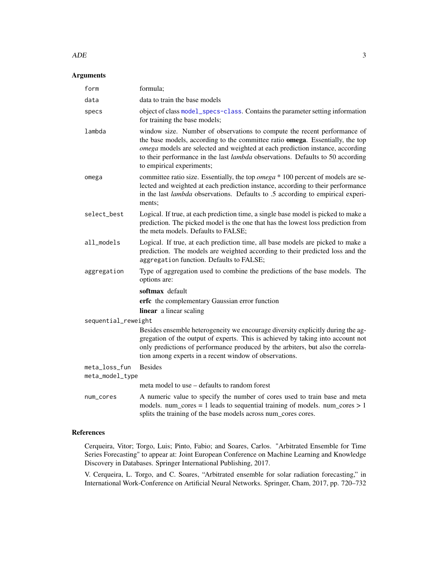### $ADE$  3

### Arguments

| form                                                                                                                                                                                                                                       | formula;                                                                                                                                                                                                                                                                                                                                                                 |  |
|--------------------------------------------------------------------------------------------------------------------------------------------------------------------------------------------------------------------------------------------|--------------------------------------------------------------------------------------------------------------------------------------------------------------------------------------------------------------------------------------------------------------------------------------------------------------------------------------------------------------------------|--|
| data                                                                                                                                                                                                                                       | data to train the base models                                                                                                                                                                                                                                                                                                                                            |  |
| specs                                                                                                                                                                                                                                      | object of class model_specs-class. Contains the parameter setting information<br>for training the base models;                                                                                                                                                                                                                                                           |  |
| lambda                                                                                                                                                                                                                                     | window size. Number of observations to compute the recent performance of<br>the base models, according to the committee ratio <b>omega</b> . Essentially, the top<br>omega models are selected and weighted at each prediction instance, according<br>to their performance in the last <i>lambda</i> observations. Defaults to 50 according<br>to empirical experiments; |  |
| omega                                                                                                                                                                                                                                      | committee ratio size. Essentially, the top <i>omega</i> * 100 percent of models are se-<br>lected and weighted at each prediction instance, according to their performance<br>in the last lambda observations. Defaults to .5 according to empirical experi-<br>ments:                                                                                                   |  |
| select_best                                                                                                                                                                                                                                | Logical. If true, at each prediction time, a single base model is picked to make a<br>prediction. The picked model is the one that has the lowest loss prediction from<br>the meta models. Defaults to FALSE;                                                                                                                                                            |  |
| all_models                                                                                                                                                                                                                                 | Logical. If true, at each prediction time, all base models are picked to make a<br>prediction. The models are weighted according to their predicted loss and the<br>aggregation function. Defaults to FALSE;                                                                                                                                                             |  |
| aggregation                                                                                                                                                                                                                                | Type of aggregation used to combine the predictions of the base models. The<br>options are:                                                                                                                                                                                                                                                                              |  |
|                                                                                                                                                                                                                                            | softmax default                                                                                                                                                                                                                                                                                                                                                          |  |
|                                                                                                                                                                                                                                            | erfc the complementary Gaussian error function                                                                                                                                                                                                                                                                                                                           |  |
|                                                                                                                                                                                                                                            | linear a linear scaling                                                                                                                                                                                                                                                                                                                                                  |  |
| sequential_reweight                                                                                                                                                                                                                        |                                                                                                                                                                                                                                                                                                                                                                          |  |
|                                                                                                                                                                                                                                            | Besides ensemble heterogeneity we encourage diversity explicitly during the ag-<br>gregation of the output of experts. This is achieved by taking into account not<br>only predictions of performance produced by the arbiters, but also the correla-<br>tion among experts in a recent window of observations.                                                          |  |
| meta_loss_fun                                                                                                                                                                                                                              | <b>Besides</b>                                                                                                                                                                                                                                                                                                                                                           |  |
| meta_model_type                                                                                                                                                                                                                            |                                                                                                                                                                                                                                                                                                                                                                          |  |
|                                                                                                                                                                                                                                            | meta model to use – defaults to random forest                                                                                                                                                                                                                                                                                                                            |  |
| A numeric value to specify the number of cores used to train base and meta<br>num_cores<br>models. num_cores = 1 leads to sequential training of models. num_cores $> 1$<br>splits the training of the base models across num_cores cores. |                                                                                                                                                                                                                                                                                                                                                                          |  |

### References

Cerqueira, Vitor; Torgo, Luis; Pinto, Fabio; and Soares, Carlos. "Arbitrated Ensemble for Time Series Forecasting" to appear at: Joint European Conference on Machine Learning and Knowledge Discovery in Databases. Springer International Publishing, 2017.

V. Cerqueira, L. Torgo, and C. Soares, "Arbitrated ensemble for solar radiation forecasting," in International Work-Conference on Artificial Neural Networks. Springer, Cham, 2017, pp. 720–732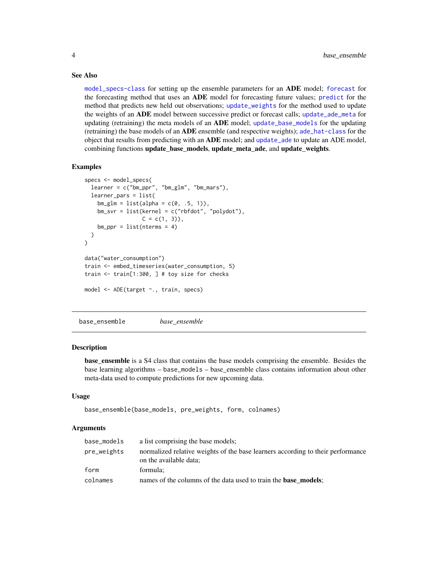### See Also

[model\\_specs-class](#page-0-0) for setting up the ensemble parameters for an ADE model; [forecast](#page-9-1) for the forecasting method that uses an ADE model for forecasting future values; [predict](#page-15-1) for the method that predicts new held out observations; [update\\_weights](#page-23-1) for the method used to update the weights of an ADE model between successive predict or forecast calls; [update\\_ade\\_meta](#page-20-1) for updating (retraining) the meta models of an **ADE** model; [update\\_base\\_models](#page-21-1) for the updating (retraining) the base models of an ADE ensemble (and respective weights); [ade\\_hat-class](#page-0-0) for the object that results from predicting with an **ADE** model; and [update\\_ade](#page-19-1) to update an ADE model, combining functions update\_base\_models, update\_meta\_ade, and update\_weights.

### Examples

```
specs <- model_specs(
 learner = c("bm_ppr", "bm_glm", "bm_mars"),
 learner_pars = list(
   bm_glm = list(alpha = c(0, .5, 1)),bm_svr = list(kernel = c("rbfdot", "polydot"),
                 C = c(1, 3),
   bm_ppr = list(nterms = 4))
)
data("water_consumption")
train <- embed_timeseries(water_consumption, 5)
train <- train[1:300, ] # toy size for checks
model <- ADE(target ~., train, specs)
```
base\_ensemble *base\_ensemble*

### **Description**

**base** ensemble is a S4 class that contains the base models comprising the ensemble. Besides the base learning algorithms – base\_models – base\_ensemble class contains information about other meta-data used to compute predictions for new upcoming data.

#### Usage

```
base_ensemble(base_models, pre_weights, form, colnames)
```

| base_models | a list comprising the base models;                                                                        |  |
|-------------|-----------------------------------------------------------------------------------------------------------|--|
| pre_weights | normalized relative weights of the base learners according to their performance<br>on the available data; |  |
| form        | formula:                                                                                                  |  |
| colnames    | names of the columns of the data used to train the <b>base models</b> ;                                   |  |

<span id="page-3-0"></span>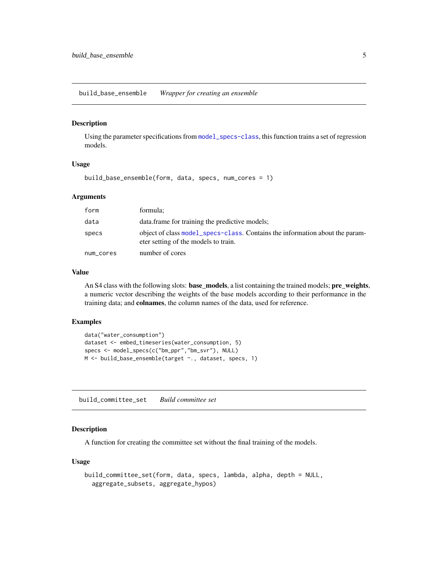<span id="page-4-1"></span><span id="page-4-0"></span>build\_base\_ensemble *Wrapper for creating an ensemble*

#### Description

Using the parameter specifications from [model\\_specs-class](#page-0-0), this function trains a set of regression models.

#### Usage

build\_base\_ensemble(form, data, specs, num\_cores = 1)

### Arguments

| form      | formula;                                                                                                             |
|-----------|----------------------------------------------------------------------------------------------------------------------|
| data      | data. frame for training the predictive models;                                                                      |
| specs     | object of class model_specs-class. Contains the information about the param-<br>eter setting of the models to train. |
| num_cores | number of cores                                                                                                      |

#### Value

An S4 class with the following slots: **base\_models**, a list containing the trained models; **pre\_weights**, a numeric vector describing the weights of the base models according to their performance in the training data; and colnames, the column names of the data, used for reference.

### Examples

```
data("water_consumption")
dataset <- embed_timeseries(water_consumption, 5)
specs <- model_specs(c("bm_ppr","bm_svr"), NULL)
M <- build_base_ensemble(target ~., dataset, specs, 1)
```
build\_committee\_set *Build committee set*

### Description

A function for creating the committee set without the final training of the models.

#### Usage

```
build_committee_set(form, data, specs, lambda, alpha, depth = NULL,
  aggregate_subsets, aggregate_hypos)
```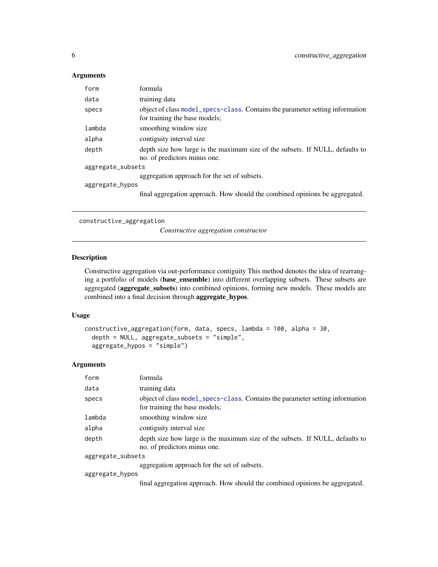### <span id="page-5-0"></span>Arguments

| form              | formula                                                                                                        |  |
|-------------------|----------------------------------------------------------------------------------------------------------------|--|
| data              | training data                                                                                                  |  |
| specs             | object of class model_specs-class. Contains the parameter setting information<br>for training the base models; |  |
| lambda            | smoothing window size                                                                                          |  |
| alpha             | contiguity interval size                                                                                       |  |
| depth             | depth size how large is the maximum size of the subsets. If NULL, defaults to<br>no. of predictors minus one.  |  |
| aggregate_subsets |                                                                                                                |  |
|                   | aggregation approach for the set of subsets.                                                                   |  |
| aggregate_hypos   |                                                                                                                |  |
|                   | final aggregation approach. How should the combined opinions be aggregated.                                    |  |

constructive\_aggregation

*Constructive aggregation constructor*

### Description

Constructive aggregation via out-performance contiguity This method denotes the idea of rearranging a portfolio of models (base\_ensemble) into different overlapping subsets. These subsets are aggregated (aggregate\_subsets) into combined opinions, forming new models. These models are combined into a final decision through aggregate\_hypos.

### Usage

```
constructive_aggregation(form, data, specs, lambda = 100, alpha = 30,
  depth = NULL, aggregate_subsets = "simple",
  aggregate_hypos = "simple")
```

| form              | formula                                                                                                        |
|-------------------|----------------------------------------------------------------------------------------------------------------|
| data              | training data                                                                                                  |
| specs             | object of class model_specs-class. Contains the parameter setting information<br>for training the base models; |
| lambda            | smoothing window size                                                                                          |
| alpha             | contiguity interval size                                                                                       |
| depth             | depth size how large is the maximum size of the subsets. If NULL, defaults to<br>no. of predictors minus one.  |
| aggregate_subsets |                                                                                                                |
|                   | aggregation approach for the set of subsets.                                                                   |
| aggregate_hypos   |                                                                                                                |
|                   | final aggregation approach. How should the combined opinions be aggregated.                                    |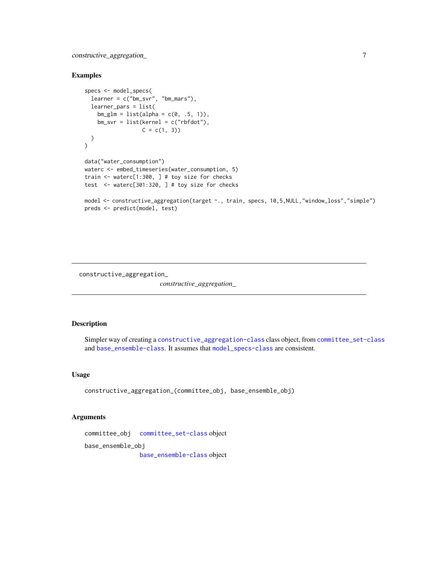<span id="page-6-0"></span>constructive\_aggregation\_ 7

#### Examples

```
specs <- model_specs(
 learner = c("bm_svr", "bm_mars"),
 learner_pars = list(
   bm_glm = list(alpha = c(0, .5, 1)),bm_svr = list(kernel = c("rbfdot"),
                  C = c(1, 3))
\mathcal{L}data("water_consumption")
waterc <- embed_timeseries(water_consumption, 5)
train <- waterc[1:300, ] # toy size for checks
test <- waterc[301:320, ] # toy size for checks
model <- constructive_aggregation(target ~., train, specs, 10,5,NULL,"window_loss","simple")
preds <- predict(model, test)
```
constructive\_aggregation\_

*constructive\_aggregation\_*

### Description

Simpler way of creating a [constructive\\_aggregation-class](#page-0-0) class object, from [committee\\_set-class](#page-0-0) and [base\\_ensemble-class](#page-0-0). It assumes that [model\\_specs-class](#page-0-0) are consistent.

### Usage

constructive\_aggregation\_(committee\_obj, base\_ensemble\_obj)

### Arguments

committee\_obj [committee\\_set-class](#page-0-0) object

base\_ensemble\_obj

[base\\_ensemble-class](#page-0-0) object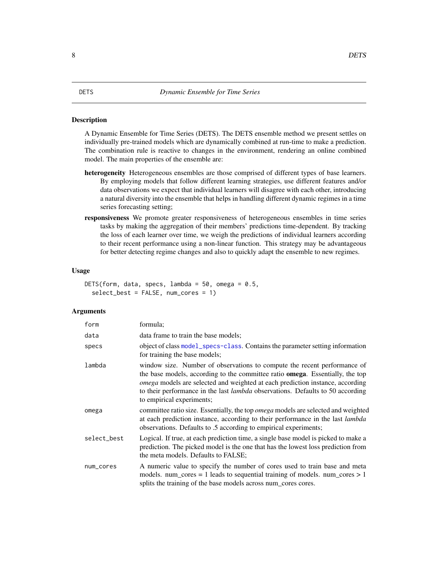#### <span id="page-7-1"></span><span id="page-7-0"></span>Description

A Dynamic Ensemble for Time Series (DETS). The DETS ensemble method we present settles on individually pre-trained models which are dynamically combined at run-time to make a prediction. The combination rule is reactive to changes in the environment, rendering an online combined model. The main properties of the ensemble are:

- heterogeneity Heterogeneous ensembles are those comprised of different types of base learners. By employing models that follow different learning strategies, use different features and/or data observations we expect that individual learners will disagree with each other, introducing a natural diversity into the ensemble that helps in handling different dynamic regimes in a time series forecasting setting;
- responsiveness We promote greater responsiveness of heterogeneous ensembles in time series tasks by making the aggregation of their members' predictions time-dependent. By tracking the loss of each learner over time, we weigh the predictions of individual learners according to their recent performance using a non-linear function. This strategy may be advantageous for better detecting regime changes and also to quickly adapt the ensemble to new regimes.

### Usage

```
DETS(form, data, specs, lambda = 50, omega = 0.5,
  select_best = FALSE, num_cores = 1)
```

| form        | formula;                                                                                                                                                                                                                                                                                                                                                                 |
|-------------|--------------------------------------------------------------------------------------------------------------------------------------------------------------------------------------------------------------------------------------------------------------------------------------------------------------------------------------------------------------------------|
| data        | data frame to train the base models;                                                                                                                                                                                                                                                                                                                                     |
| specs       | object of class model_specs-class. Contains the parameter setting information<br>for training the base models;                                                                                                                                                                                                                                                           |
| lambda      | window size. Number of observations to compute the recent performance of<br>the base models, according to the committee ratio <b>omega</b> . Essentially, the top<br>omega models are selected and weighted at each prediction instance, according<br>to their performance in the last <i>lambda</i> observations. Defaults to 50 according<br>to empirical experiments; |
| omega       | committee ratio size. Essentially, the top omega models are selected and weighted<br>at each prediction instance, according to their performance in the last <i>lambda</i><br>observations. Defaults to .5 according to empirical experiments;                                                                                                                           |
| select_best | Logical. If true, at each prediction time, a single base model is picked to make a<br>prediction. The picked model is the one that has the lowest loss prediction from<br>the meta models. Defaults to FALSE;                                                                                                                                                            |
| num_cores   | A numeric value to specify the number of cores used to train base and meta<br>models. num_cores = 1 leads to sequential training of models. num_cores $> 1$<br>splits the training of the base models across num_cores cores.                                                                                                                                            |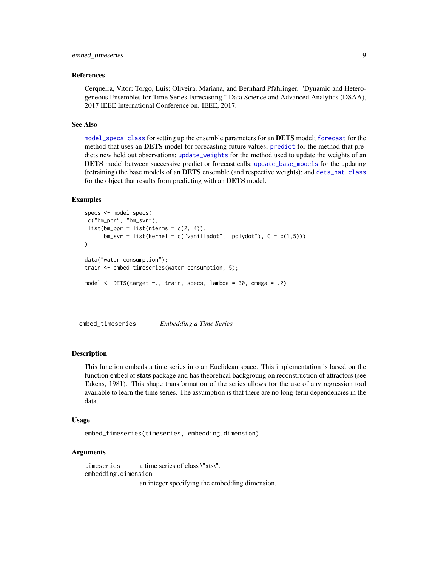### <span id="page-8-0"></span>embed\_timeseries 9

#### References

Cerqueira, Vitor; Torgo, Luis; Oliveira, Mariana, and Bernhard Pfahringer. "Dynamic and Heterogeneous Ensembles for Time Series Forecasting." Data Science and Advanced Analytics (DSAA), 2017 IEEE International Conference on. IEEE, 2017.

#### See Also

[model\\_specs-class](#page-0-0) for setting up the ensemble parameters for an **DETS** model; [forecast](#page-9-1) for the method that uses an DETS model for forecasting future values; [predict](#page-15-1) for the method that predicts new held out observations; [update\\_weights](#page-23-1) for the method used to update the weights of an DETS model between successive predict or forecast calls; [update\\_base\\_models](#page-21-1) for the updating (retraining) the base models of an DETS ensemble (and respective weights); and [dets\\_hat-class](#page-0-0) for the object that results from predicting with an DETS model.

### Examples

```
specs <- model_specs(
c("bm_ppr", "bm_svr"),
list(bm\_ppr = list(nterms = c(2, 4)),bm\_svr = list(kernel = c("vanilladot", "polydot"), C = c(1,5))))
data("water_consumption");
train <- embed_timeseries(water_consumption, 5);
model <- DETS(target ~., train, specs, lambda = 30, omega = .2)
```
embed\_timeseries *Embedding a Time Series*

### Description

This function embeds a time series into an Euclidean space. This implementation is based on the function embed of **stats** package and has theoretical backgroung on reconstruction of attractors (see Takens, 1981). This shape transformation of the series allows for the use of any regression tool available to learn the time series. The assumption is that there are no long-term dependencies in the data.

#### Usage

embed\_timeseries(timeseries, embedding.dimension)

#### Arguments

timeseries a time series of class \"xts\". embedding.dimension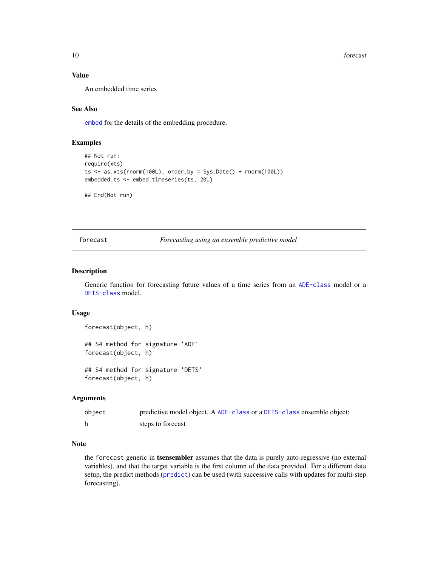10 forecast  $\sim$  forecast  $\sim$  forecast  $\sim$  forecast  $\sim$  forecast  $\sim$  forecast  $\sim$  forecast  $\sim$  forecast  $\sim$  forecast  $\sim$  forecast  $\sim$  forecast  $\sim$  forecast  $\sim$  forecast  $\sim$  forecast  $\sim$  forecast  $\sim$  forecast

### Value

An embedded time series

### See Also

[embed](#page-0-0) for the details of the embedding procedure.

### Examples

```
## Not run:
require(xts)
ts \leq as.xts(rnorm(100L), order.by = Sys.Date() + rnorm(100L))
embedded.ts <- embed.timeseries(ts, 20L)
```
## End(Not run)

<span id="page-9-1"></span>forecast *Forecasting using an ensemble predictive model*

### Description

Generic function for forecasting future values of a time series from an [ADE-class](#page-0-0) model or a [DETS-class](#page-0-0) model.

#### Usage

```
forecast(object, h)
```
## S4 method for signature 'ADE' forecast(object, h)

## S4 method for signature 'DETS' forecast(object, h)

### Arguments

```
object predictive model object. A ADE-class or a DETS-class ensemble object;
h steps to forecast
```
#### Note

the forecast generic in tsensembler assumes that the data is purely auto-regressive (no external variables), and that the target variable is the first column of the data provided. For a different data setup, the predict methods ([predict](#page-15-1)) can be used (with successive calls with updates for multi-step forecasting).

<span id="page-9-0"></span>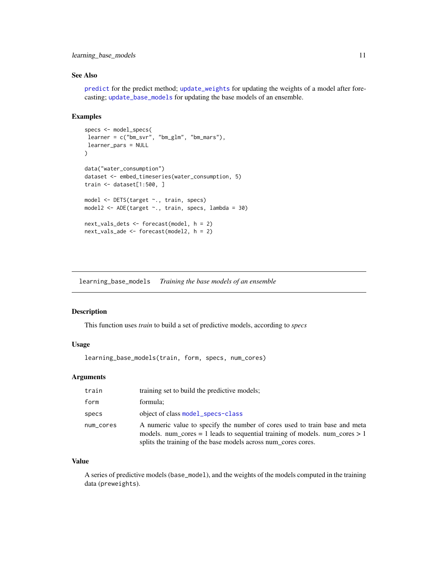### <span id="page-10-0"></span>learning\_base\_models 11

### See Also

[predict](#page-15-1) for the predict method; [update\\_weights](#page-23-1) for updating the weights of a model after forecasting; [update\\_base\\_models](#page-21-1) for updating the base models of an ensemble.

### Examples

```
specs <- model_specs(
learner = c("bm_svr", "bm_glm", "bm_mars"),
learner_pars = NULL
\mathcal{L}data("water_consumption")
dataset <- embed_timeseries(water_consumption, 5)
train <- dataset[1:500, ]
model <- DETS(target ~., train, specs)
model2 <- ADE(target ~., train, specs, lambda = 30)
next_vals_dets <- forecast(model, h = 2)
next_vals_ade <- forecast(model2, h = 2)
```
learning\_base\_models *Training the base models of an ensemble*

### Description

This function uses *train* to build a set of predictive models, according to *specs*

#### Usage

```
learning_base_models(train, form, specs, num_cores)
```
### Arguments

| train     | training set to build the predictive models;                                                                                                                                                                                  |  |
|-----------|-------------------------------------------------------------------------------------------------------------------------------------------------------------------------------------------------------------------------------|--|
| form      | formula;                                                                                                                                                                                                                      |  |
| specs     | object of class model_specs-class                                                                                                                                                                                             |  |
| num_cores | A numeric value to specify the number of cores used to train base and meta<br>models, num cores = 1 leads to sequential training of models, num cores $> 1$<br>splits the training of the base models across num_cores cores. |  |

### Value

A series of predictive models (base\_model), and the weights of the models computed in the training data (preweights).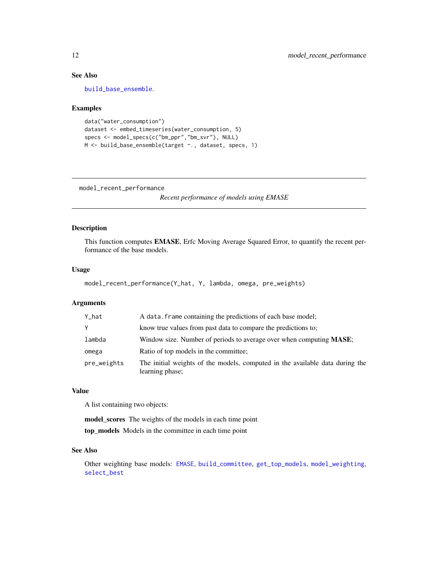### See Also

[build\\_base\\_ensemble](#page-4-1).

### Examples

```
data("water_consumption")
dataset <- embed_timeseries(water_consumption, 5)
specs <- model_specs(c("bm_ppr","bm_svr"), NULL)
M <- build_base_ensemble(target ~., dataset, specs, 1)
```
<span id="page-11-1"></span>model\_recent\_performance

*Recent performance of models using EMASE*

### Description

This function computes EMASE, Erfc Moving Average Squared Error, to quantify the recent performance of the base models.

### Usage

```
model_recent_performance(Y_hat, Y, lambda, omega, pre_weights)
```
### Arguments

| Y_hat       | A data. frame containing the predictions of each base model;                                    |  |
|-------------|-------------------------------------------------------------------------------------------------|--|
| Υ           | know true values from past data to compare the predictions to:                                  |  |
| lambda      | Window size. Number of periods to average over when computing MASE;                             |  |
| omega       | Ratio of top models in the committee;                                                           |  |
| pre_weights | The initial weights of the models, computed in the available data during the<br>learning phase; |  |

### Value

A list containing two objects:

model\_scores The weights of the models in each time point

top\_models Models in the committee in each time point

### See Also

Other weighting base models: [EMASE](#page-0-0), [build\\_committee](#page-0-0), [get\\_top\\_models](#page-0-0), [model\\_weighting](#page-14-1), [select\\_best](#page-0-0)

<span id="page-11-0"></span>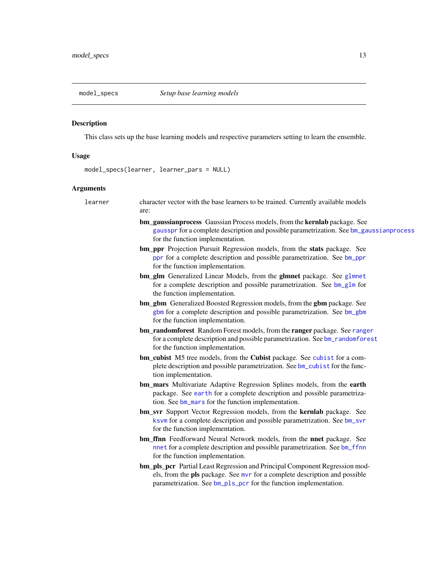<span id="page-12-0"></span>

### Description

This class sets up the base learning models and respective parameters setting to learn the ensemble.

### Usage

model\_specs(learner, learner\_pars = NULL)

| learner | character vector with the base learners to be trained. Currently available models<br>are:                                                                                                                                     |
|---------|-------------------------------------------------------------------------------------------------------------------------------------------------------------------------------------------------------------------------------|
|         | bm_gaussianprocess Gaussian Process models, from the kernlab package. See<br>gausspr for a complete description and possible parametrization. See bm_gaussianprocess<br>for the function implementation.                      |
|         | bm_ppr Projection Pursuit Regression models, from the stats package. See<br>ppr for a complete description and possible parametrization. See bm_ppr<br>for the function implementation.                                       |
|         | bm_glm Generalized Linear Models, from the glmnet package. See glmnet<br>for a complete description and possible parametrization. See bm_glm for<br>the function implementation.                                              |
|         | bm_gbm Generalized Boosted Regression models, from the gbm package. See<br>gbm for a complete description and possible parametrization. See bm_gbm<br>for the function implementation.                                        |
|         | bm_randomforest Random Forest models, from the ranger package. See ranger<br>for a complete description and possible parametrization. See bm_randomforest<br>for the function implementation.                                 |
|         | bm_cubist M5 tree models, from the Cubist package. See cubist for a com-<br>plete description and possible parametrization. See bm_cubist for the func-<br>tion implementation.                                               |
|         | bm_mars Multivariate Adaptive Regression Splines models, from the earth<br>package. See earth for a complete description and possible parametriza-<br>tion. See bm_mars for the function implementation.                      |
|         | bm_svr Support Vector Regression models, from the kernlab package. See<br>ksvm for a complete description and possible parametrization. See bm_svr<br>for the function implementation.                                        |
|         | bm_ffnn Feedforward Neural Network models, from the nnet package. See<br>nnet for a complete description and possible parametrization. See bm_ffnn<br>for the function implementation.                                        |
|         | bm_pls_pcr Partial Least Regression and Principal Component Regression mod-<br>els, from the pls package. See mvr for a complete description and possible<br>parametrization. See bm_p1s_pcr for the function implementation. |
|         |                                                                                                                                                                                                                               |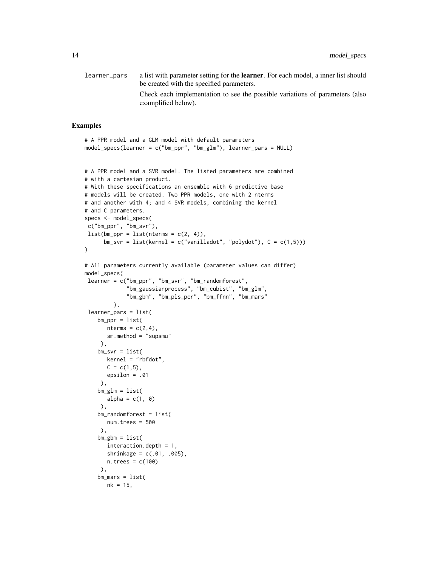learner\_pars a list with parameter setting for the learner. For each model, a inner list should be created with the specified parameters. Check each implementation to see the possible variations of parameters (also examplified below).

### Examples

```
model_specs(learner = c("bm_ppr", "bm_glm"), learner_pars = NULL)
# A PPR model and a SVR model. The listed parameters are combined
# with a cartesian product.
# With these specifications an ensemble with 6 predictive base
# models will be created. Two PPR models, one with 2 nterms
# and another with 4; and 4 SVR models, combining the kernel
# and C parameters.
specs <- model_specs(
c("bm_ppr", "bm_svr"),
list(bm\_ppr = list(nterms = c(2, 4)),bm\_svr = list(kernel = c("vanilladot", "polydot"), C = c(1,5))))
# All parameters currently available (parameter values can differ)
model_specs(
learner = c("bm_ppr", "bm_svr", "bm_randomforest",
             "bm_gaussianprocess", "bm_cubist", "bm_glm",
             "bm_gbm", "bm_pls_pcr", "bm_ffnn", "bm_mars"
        ),
 learner_pars = list(
   bm_ppr = list(nterms = c(2, 4),sm.method = "supsmu"
    ),
    bm_svr = list(
      kernel = "rbfdot",
      C = c(1,5),
      epsilon = .01
    ),
   bm_glm = list(alpha = c(1, 0)),
   bm_randomforest = list(
      num.trees = 500
    ),
    bm = list(interaction.depth = 1,
      shrinkage = c(.01, .005),
      n.trees = c(100)),
   bm_mars = list(nk = 15,
```
# A PPR model and a GLM model with default parameters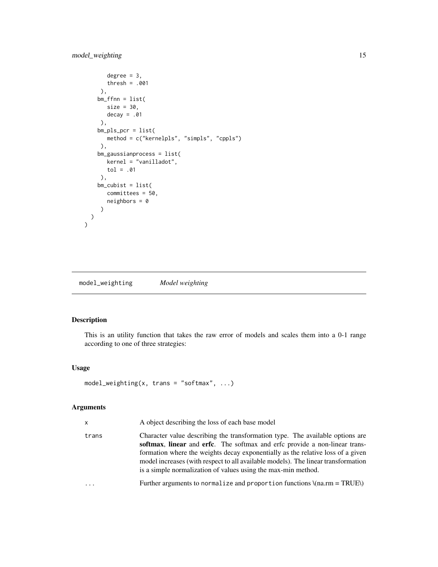```
degree = 3,
     thresh = .001
   ),
  bm = list(size = 30,decay = .01),
  bm_pls_pcr = list(
    method = c("kernelpls", "simpls", "cppls")
   ),
  bm_gaussianprocess = list(
     kernel = "vanilladot",
     tol = .01
   ),
  bm\_cubits = list(committees = 50,
     neighbours = 0)
\lambda
```
<span id="page-14-1"></span>model\_weighting *Model weighting*

### Description

 $\mathcal{L}$ 

This is an utility function that takes the raw error of models and scales them into a 0-1 range according to one of three strategies:

### Usage

```
model_weighting(x, trans = "softmax", ...)
```

| x     | A object describing the loss of each base model                                                                                                                                                                                                                                                                                                                                                      |
|-------|------------------------------------------------------------------------------------------------------------------------------------------------------------------------------------------------------------------------------------------------------------------------------------------------------------------------------------------------------------------------------------------------------|
| trans | Character value describing the transformation type. The available options are<br>softmax, linear and erfc. The softmax and erfc provide a non-linear trans-<br>formation where the weights decay exponentially as the relative loss of a given<br>model increases (with respect to all available models). The linear transformation<br>is a simple normalization of values using the max-min method. |
| .     | Further arguments to normalize and proportion functions $\tan x = \text{TRUE}$                                                                                                                                                                                                                                                                                                                       |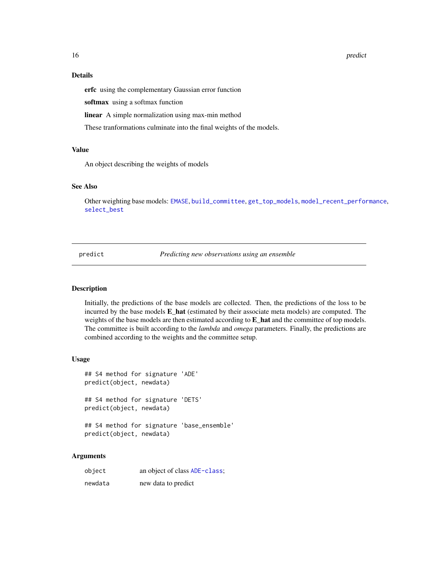<span id="page-15-0"></span>16 predict the predict of the set of the predict of the predict of the predict of the predict of the predict of the predict of the predict of the predict of the predict of the predict of the predict of the predict of the p

### Details

erfc using the complementary Gaussian error function

softmax using a softmax function

linear A simple normalization using max-min method

These tranformations culminate into the final weights of the models.

### Value

An object describing the weights of models

### See Also

Other weighting base models: [EMASE](#page-0-0), [build\\_committee](#page-0-0), [get\\_top\\_models](#page-0-0), [model\\_recent\\_performance](#page-11-1), [select\\_best](#page-0-0)

<span id="page-15-1"></span>predict *Predicting new observations using an ensemble*

### Description

Initially, the predictions of the base models are collected. Then, the predictions of the loss to be incurred by the base models  $E$  hat (estimated by their associate meta models) are computed. The weights of the base models are then estimated according to **E\_hat** and the committee of top models. The committee is built according to the *lambda* and *omega* parameters. Finally, the predictions are combined according to the weights and the committee setup.

#### Usage

```
## S4 method for signature 'ADE'
predict(object, newdata)
## S4 method for signature 'DETS'
```

```
predict(object, newdata)
```

```
## S4 method for signature 'base_ensemble'
predict(object, newdata)
```

| object  | an object of class ADE-class; |
|---------|-------------------------------|
| newdata | new data to predict           |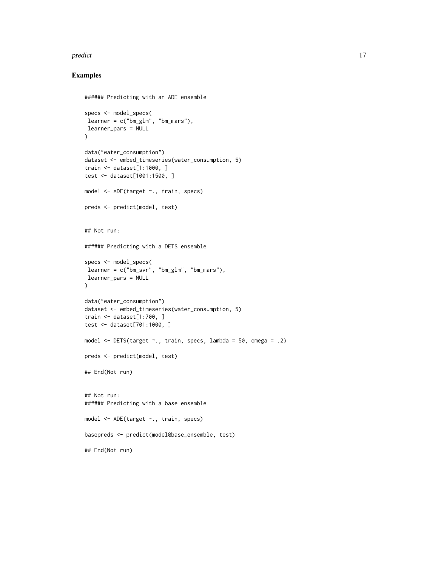#### predict the contract of the contract of the contract of the contract of the contract of the contract of the contract of the contract of the contract of the contract of the contract of the contract of the contract of the co

### Examples

```
###### Predicting with an ADE ensemble
specs <- model_specs(
learner = c("bm_glm", "bm_mars"),learner_pars = NULL
)
data("water_consumption")
dataset <- embed_timeseries(water_consumption, 5)
train <- dataset[1:1000, ]
test <- dataset[1001:1500, ]
model <- ADE(target ~., train, specs)
preds <- predict(model, test)
## Not run:
###### Predicting with a DETS ensemble
specs <- model_specs(
learner = c("bm_svr", "bm_glm", "bm_mars"),
learner_pars = NULL
)
data("water_consumption")
dataset <- embed_timeseries(water_consumption, 5)
train <- dataset[1:700, ]
test <- dataset[701:1000, ]
model <- DETS(target ~., train, specs, lambda = 50, omega = .2)
preds <- predict(model, test)
## End(Not run)
## Not run:
###### Predicting with a base ensemble
model <- ADE(target ~., train, specs)
basepreds <- predict(model@base_ensemble, test)
## End(Not run)
```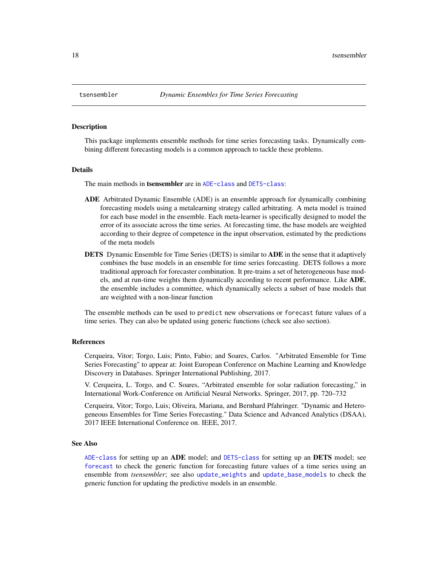<span id="page-17-0"></span>

#### Description

This package implements ensemble methods for time series forecasting tasks. Dynamically combining different forecasting models is a common approach to tackle these problems.

#### Details

The main methods in tsensembler are in [ADE-class](#page-0-0) and [DETS-class](#page-0-0):

- ADE Arbitrated Dynamic Ensemble (ADE) is an ensemble approach for dynamically combining forecasting models using a metalearning strategy called arbitrating. A meta model is trained for each base model in the ensemble. Each meta-learner is specifically designed to model the error of its associate across the time series. At forecasting time, the base models are weighted according to their degree of competence in the input observation, estimated by the predictions of the meta models
- **DETS** Dynamic Ensemble for Time Series (DETS) is similar to **ADE** in the sense that it adaptively combines the base models in an ensemble for time series forecasting. DETS follows a more traditional approach for forecaster combination. It pre-trains a set of heterogeneous base models, and at run-time weights them dynamically according to recent performance. Like ADE, the ensemble includes a committee, which dynamically selects a subset of base models that are weighted with a non-linear function

The ensemble methods can be used to predict new observations or forecast future values of a time series. They can also be updated using generic functions (check see also section).

#### References

Cerqueira, Vitor; Torgo, Luis; Pinto, Fabio; and Soares, Carlos. "Arbitrated Ensemble for Time Series Forecasting" to appear at: Joint European Conference on Machine Learning and Knowledge Discovery in Databases. Springer International Publishing, 2017.

V. Cerqueira, L. Torgo, and C. Soares, "Arbitrated ensemble for solar radiation forecasting," in International Work-Conference on Artificial Neural Networks. Springer, 2017, pp. 720–732

Cerqueira, Vitor; Torgo, Luis; Oliveira, Mariana, and Bernhard Pfahringer. "Dynamic and Heterogeneous Ensembles for Time Series Forecasting." Data Science and Advanced Analytics (DSAA), 2017 IEEE International Conference on. IEEE, 2017.

#### See Also

[ADE-class](#page-0-0) for setting up an ADE model; and [DETS-class](#page-0-0) for setting up an DETS model; see [forecast](#page-9-1) to check the generic function for forecasting future values of a time series using an ensemble from *tsensembler*; see also [update\\_weights](#page-23-1) and [update\\_base\\_models](#page-21-1) to check the generic function for updating the predictive models in an ensemble.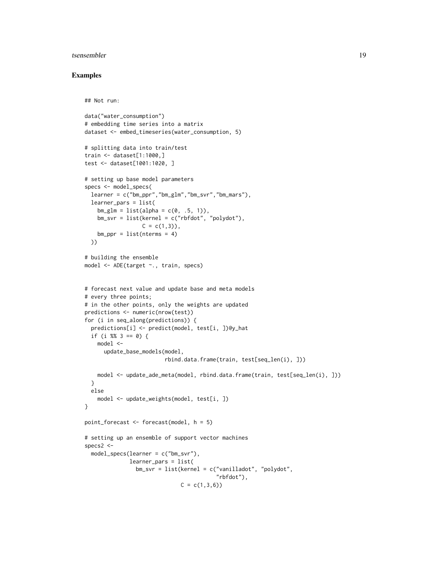#### tsensembler and the sensemble of the sensemble of the sensemble of the sensemble of the sensemble of the sensemble of the sensemble of the sensemble of the sensemble of the sensemble of the sensemble of the sensemble of th

### Examples

```
## Not run:
data("water_consumption")
# embedding time series into a matrix
dataset <- embed_timeseries(water_consumption, 5)
# splitting data into train/test
train <- dataset[1:1000,]
test <- dataset[1001:1020, ]
# setting up base model parameters
specs <- model_specs(
  learner = c("bm\_ppr", "bm\_glm", "bm\_svr", "bm\_mars").learner_pars = list(
   bm_glm = list(alpha = c(0, .5, 1)),bm_svr = list(kernel = c("rbfdot", "polydot"),
                  C = c(1,3),
   bm_ppr = list(nterms = 4)))
# building the ensemble
model <- ADE(target ~., train, specs)
# forecast next value and update base and meta models
# every three points;
# in the other points, only the weights are updated
predictions <- numeric(nrow(test))
for (i in seq_along(predictions)) {
  predictions[i] <- predict(model, test[i, ])@y_hat
  if (i %% 3 == 0) {
    model <-
      update_base_models(model,
                         rbind.data.frame(train, test[seq_len(i), ]))
    model <- update_ade_meta(model, rbind.data.frame(train, test[seq_len(i), ]))
  }
  else
    model <- update_weights(model, test[i, ])
}
point_forecast <- forecast(model, h = 5)
# setting up an ensemble of support vector machines
specs2 <-
  model_specs(learner = c("bm_svr"),
              learner_pars = list(
                bm_svr = list(kernel = c("vanilladot", "polydot",
                                         "rbfdot"),
                              C = c(1, 3, 6)
```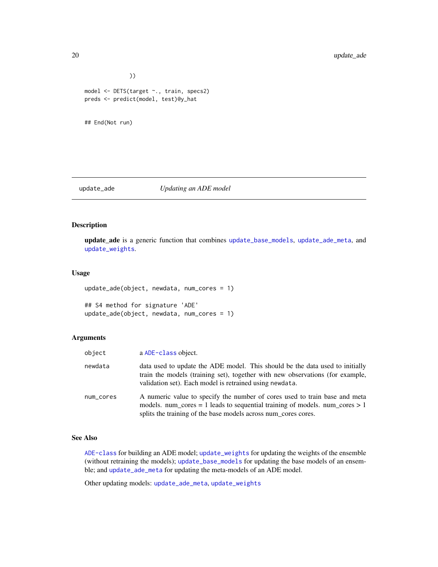```
))
model <- DETS(target ~., train, specs2)
preds <- predict(model, test)@y_hat
```

```
## End(Not run)
```
### <span id="page-19-1"></span>update\_ade *Updating an ADE model*

### Description

update\_ade is a generic function that combines [update\\_base\\_models](#page-21-1), [update\\_ade\\_meta](#page-20-1), and [update\\_weights](#page-23-1).

#### Usage

```
update_ade(object, newdata, num_cores = 1)
```

```
## S4 method for signature 'ADE'
update_ade(object, newdata, num_cores = 1)
```
#### Arguments

| object    | a ADE-class object.                                                                                                                                                                                                         |
|-----------|-----------------------------------------------------------------------------------------------------------------------------------------------------------------------------------------------------------------------------|
| newdata   | data used to update the ADE model. This should be the data used to initially<br>train the models (training set), together with new observations (for example,<br>validation set). Each model is retrained using newdata.    |
| num_cores | A numeric value to specify the number of cores used to train base and meta<br>models. num_cores = 1 leads to sequential training of models. num_cores > 1<br>splits the training of the base models across num_cores cores. |

### See Also

[ADE-class](#page-0-0) for building an ADE model; [update\\_weights](#page-23-1) for updating the weights of the ensemble (without retraining the models); [update\\_base\\_models](#page-21-1) for updating the base models of an ensemble; and [update\\_ade\\_meta](#page-20-1) for updating the meta-models of an ADE model.

Other updating models: [update\\_ade\\_meta](#page-20-1), [update\\_weights](#page-23-1)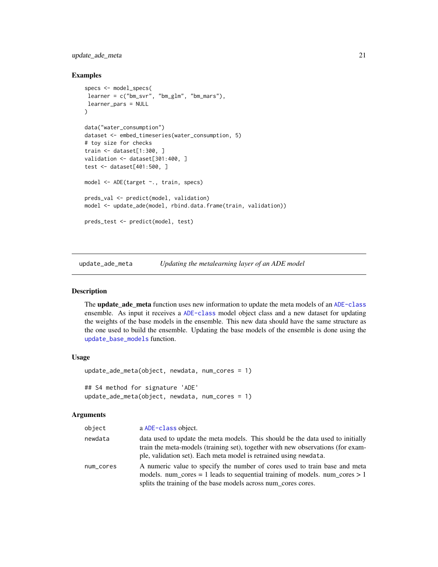### <span id="page-20-0"></span>update\_ade\_meta 21

#### Examples

```
specs <- model_specs(
learner = c("bm_svr", "bm_glm", "bm_mars"),
learner_pars = NULL
\lambdadata("water_consumption")
dataset <- embed_timeseries(water_consumption, 5)
# toy size for checks
train <- dataset[1:300, ]
validation <- dataset[301:400, ]
test <- dataset[401:500, ]
model <- ADE(target ~., train, specs)
preds_val <- predict(model, validation)
model <- update_ade(model, rbind.data.frame(train, validation))
preds_test <- predict(model, test)
```
<span id="page-20-1"></span>update\_ade\_meta *Updating the metalearning layer of an ADE model*

### Description

The **update** ade meta function uses new information to update the meta models of an [ADE-class](#page-0-0) ensemble. As input it receives a [ADE-class](#page-0-0) model object class and a new dataset for updating the weights of the base models in the ensemble. This new data should have the same structure as the one used to build the ensemble. Updating the base models of the ensemble is done using the [update\\_base\\_models](#page-21-1) function.

### Usage

```
update_ade_meta(object, newdata, num_cores = 1)
## S4 method for signature 'ADE'
update_ade_meta(object, newdata, num_cores = 1)
```

| object    | a ADE-class object.                                                                                                                                                                                                                    |
|-----------|----------------------------------------------------------------------------------------------------------------------------------------------------------------------------------------------------------------------------------------|
| newdata   | data used to update the meta models. This should be the data used to initially<br>train the meta-models (training set), together with new observations (for exam-<br>ple, validation set). Each meta model is retrained using newdata. |
| num_cores | A numeric value to specify the number of cores used to train base and meta<br>models, num cores = 1 leads to sequential training of models, num cores $> 1$<br>splits the training of the base models across num_cores cores.          |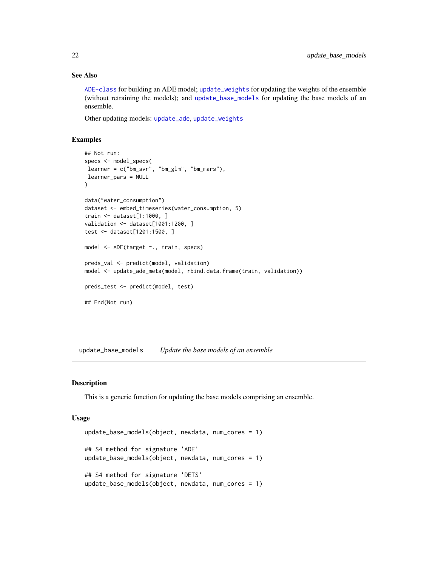### See Also

[ADE-class](#page-0-0) for building an ADE model; [update\\_weights](#page-23-1) for updating the weights of the ensemble (without retraining the models); and [update\\_base\\_models](#page-21-1) for updating the base models of an ensemble.

Other updating models: [update\\_ade](#page-19-1), [update\\_weights](#page-23-1)

### Examples

```
## Not run:
specs <- model_specs(
learner = c("bm_svr", "bm_glm", "bm_mars"),
learner_pars = NULL
)
data("water_consumption")
dataset <- embed_timeseries(water_consumption, 5)
train <- dataset[1:1000, ]
validation <- dataset[1001:1200, ]
test <- dataset[1201:1500, ]
model <- ADE(target ~., train, specs)
preds_val <- predict(model, validation)
model <- update_ade_meta(model, rbind.data.frame(train, validation))
preds_test <- predict(model, test)
## End(Not run)
```
<span id="page-21-1"></span>update\_base\_models *Update the base models of an ensemble*

#### Description

This is a generic function for updating the base models comprising an ensemble.

#### Usage

```
update_base_models(object, newdata, num_cores = 1)
## S4 method for signature 'ADE'
update_base_models(object, newdata, num_cores = 1)
## S4 method for signature 'DETS'
update_base_models(object, newdata, num_cores = 1)
```
<span id="page-21-0"></span>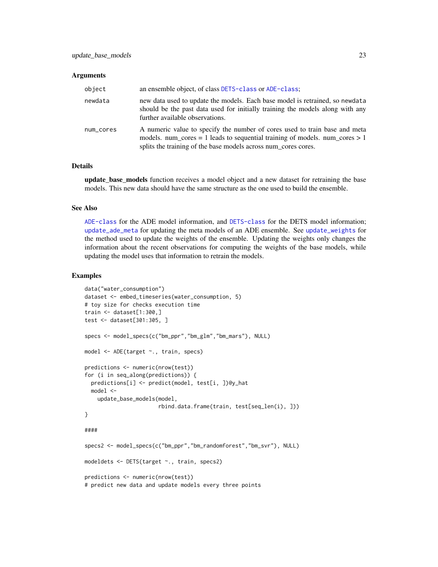#### <span id="page-22-0"></span>Arguments

| object    | an ensemble object, of class DETS-class or ADE-class;                                                                                                                                                                       |
|-----------|-----------------------------------------------------------------------------------------------------------------------------------------------------------------------------------------------------------------------------|
| newdata   | new data used to update the models. Each base model is retrained, so newdata<br>should be the past data used for initially training the models along with any<br>further available observations.                            |
| num_cores | A numeric value to specify the number of cores used to train base and meta<br>models. num_cores = 1 leads to sequential training of models. num_cores > 1<br>splits the training of the base models across num_cores cores. |

#### Details

update\_base\_models function receives a model object and a new dataset for retraining the base models. This new data should have the same structure as the one used to build the ensemble.

### See Also

[ADE-class](#page-0-0) for the ADE model information, and [DETS-class](#page-0-0) for the DETS model information; [update\\_ade\\_meta](#page-20-1) for updating the meta models of an ADE ensemble. See [update\\_weights](#page-23-1) for the method used to update the weights of the ensemble. Updating the weights only changes the information about the recent observations for computing the weights of the base models, while updating the model uses that information to retrain the models.

#### Examples

```
data("water_consumption")
dataset <- embed_timeseries(water_consumption, 5)
# toy size for checks execution time
train <- dataset[1:300,]
test <- dataset[301:305, ]
specs <- model_specs(c("bm_ppr","bm_glm","bm_mars"), NULL)
model <- ADE(target ~., train, specs)
predictions <- numeric(nrow(test))
for (i in seq_along(predictions)) {
 predictions[i] <- predict(model, test[i, ])@y_hat
 model <-
    update_base_models(model,
                       rbind.data.frame(train, test[seq_len(i), ]))
}
####
specs2 <- model_specs(c("bm_ppr","bm_randomforest","bm_svr"), NULL)
modeldets <- DETS(target ~., train, specs2)
predictions <- numeric(nrow(test))
# predict new data and update models every three points
```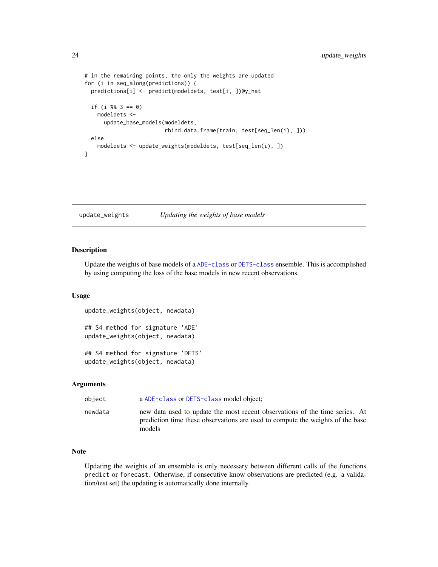```
# in the remaining points, the only the weights are updated
for (i in seq_along(predictions)) {
 predictions[i] <- predict(modeldets, test[i, ])@y_hat
 if (i %% 3 == 0)
   modeldets <-
     update_base_models(modeldets,
                         rbind.data.frame(train, test[seq_len(i), ]))
 else
    modeldets <- update_weights(modeldets, test[seq_len(i), ])
}
```
<span id="page-23-1"></span>update\_weights *Updating the weights of base models*

### Description

Update the weights of base models of a [ADE-class](#page-0-0) or [DETS-class](#page-0-0) ensemble. This is accomplished by using computing the loss of the base models in new recent observations.

#### Usage

```
update_weights(object, newdata)
## S4 method for signature 'ADE'
update_weights(object, newdata)
## S4 method for signature 'DETS'
```
update\_weights(object, newdata)

#### Arguments

| object  | a ADE-class or DETS-class model object;                                                                                                                                 |
|---------|-------------------------------------------------------------------------------------------------------------------------------------------------------------------------|
| newdata | new data used to update the most recent observations of the time series. At<br>prediction time these observations are used to compute the weights of the base<br>models |

### Note

Updating the weights of an ensemble is only necessary between different calls of the functions predict or forecast. Otherwise, if consecutive know observations are predicted (e.g. a validation/test set) the updating is automatically done internally.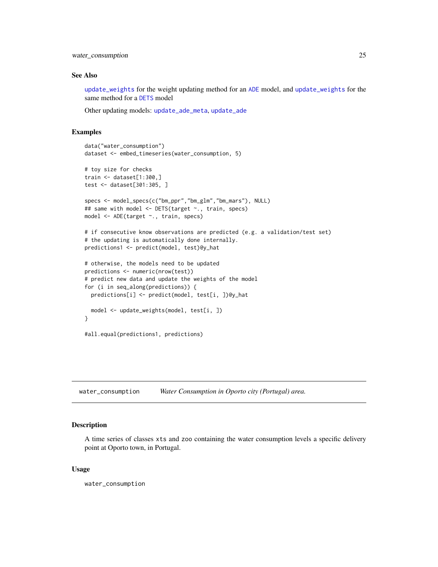<span id="page-24-0"></span>water\_consumption 25

#### See Also

[update\\_weights](#page-23-1) for the weight updating method for an [ADE](#page-1-1) model, and [update\\_weights](#page-23-1) for the same method for a [DETS](#page-7-1) model

Other updating models: [update\\_ade\\_meta](#page-20-1), [update\\_ade](#page-19-1)

### Examples

```
data("water_consumption")
dataset <- embed_timeseries(water_consumption, 5)
# toy size for checks
train <- dataset[1:300,]
test <- dataset[301:305, ]
specs <- model_specs(c("bm_ppr","bm_glm","bm_mars"), NULL)
## same with model <- DETS(target ~., train, specs)
model <- ADE(target ~., train, specs)
# if consecutive know observations are predicted (e.g. a validation/test set)
# the updating is automatically done internally.
predictions1 <- predict(model, test)@y_hat
# otherwise, the models need to be updated
predictions <- numeric(nrow(test))
# predict new data and update the weights of the model
for (i in seq_along(predictions)) {
  predictions[i] <- predict(model, test[i, ])@y_hat
  model <- update_weights(model, test[i, ])
}
#all.equal(predictions1, predictions)
```
water\_consumption *Water Consumption in Oporto city (Portugal) area.*

#### Description

A time series of classes xts and zoo containing the water consumption levels a specific delivery point at Oporto town, in Portugal.

#### Usage

water\_consumption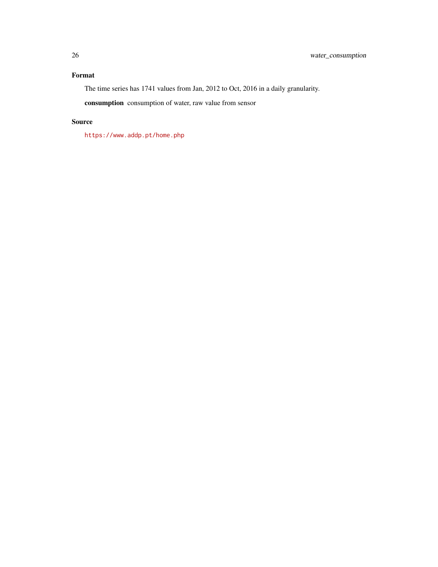### Format

The time series has 1741 values from Jan, 2012 to Oct, 2016 in a daily granularity.

consumption consumption of water, raw value from sensor

### Source

<https://www.addp.pt/home.php>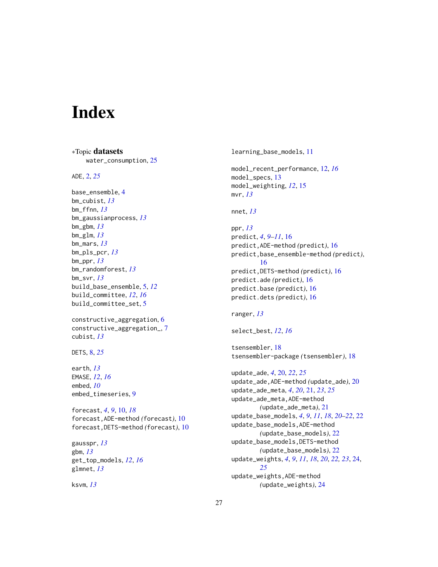# <span id="page-26-0"></span>Index

∗Topic datasets

water\_consumption, [25](#page-24-0) ADE, [2,](#page-1-0) *[25](#page-24-0)* base\_ensemble, [4](#page-3-0) bm\_cubist, *[13](#page-12-0)* bm\_ffnn, *[13](#page-12-0)* bm\_gaussianprocess, *[13](#page-12-0)* bm\_gbm, *[13](#page-12-0)* bm\_glm, *[13](#page-12-0)* bm\_mars, *[13](#page-12-0)* bm\_pls\_pcr, *[13](#page-12-0)* bm\_ppr, *[13](#page-12-0)* bm\_randomforest, *[13](#page-12-0)* bm\_svr, *[13](#page-12-0)* build\_base\_ensemble, [5,](#page-4-0) *[12](#page-11-0)* build\_committee, *[12](#page-11-0)*, *[16](#page-15-0)* build\_committee\_set, [5](#page-4-0) constructive\_aggregation, [6](#page-5-0) constructive\_aggregation\_, [7](#page-6-0) cubist, *[13](#page-12-0)* DETS, [8,](#page-7-0) *[25](#page-24-0)* earth, *[13](#page-12-0)* EMASE, *[12](#page-11-0)*, *[16](#page-15-0)* embed, *[10](#page-9-0)* embed\_timeseries, [9](#page-8-0) forecast, *[4](#page-3-0)*, *[9](#page-8-0)*, [10,](#page-9-0) *[18](#page-17-0)* forecast,ADE-method *(*forecast*)*, [10](#page-9-0) forecast,DETS-method *(*forecast*)*, [10](#page-9-0) gausspr, *[13](#page-12-0)* gbm, *[13](#page-12-0)* get\_top\_models, *[12](#page-11-0)*, *[16](#page-15-0)* glmnet, *[13](#page-12-0)* ksvm, *[13](#page-12-0)*

learning\_base\_models, [11](#page-10-0) model\_recent\_performance, [12,](#page-11-0) *[16](#page-15-0)* model\_specs, [13](#page-12-0) model\_weighting, *[12](#page-11-0)*, [15](#page-14-0) mvr, *[13](#page-12-0)* nnet, *[13](#page-12-0)* ppr, *[13](#page-12-0)* predict, *[4](#page-3-0)*, *[9](#page-8-0)[–11](#page-10-0)*, [16](#page-15-0) predict,ADE-method *(*predict*)*, [16](#page-15-0) predict,base\_ensemble-method *(*predict*)*, [16](#page-15-0) predict,DETS-method *(*predict*)*, [16](#page-15-0) predict.ade *(*predict*)*, [16](#page-15-0) predict.base *(*predict*)*, [16](#page-15-0) predict.dets *(*predict*)*, [16](#page-15-0) ranger, *[13](#page-12-0)* select\_best, *[12](#page-11-0)*, *[16](#page-15-0)* tsensembler, [18](#page-17-0) tsensembler-package *(*tsensembler*)*, [18](#page-17-0) update\_ade, *[4](#page-3-0)*, [20,](#page-19-0) *[22](#page-21-0)*, *[25](#page-24-0)* update\_ade,ADE-method *(*update\_ade*)*, [20](#page-19-0) update\_ade\_meta, *[4](#page-3-0)*, *[20](#page-19-0)*, [21,](#page-20-0) *[23](#page-22-0)*, *[25](#page-24-0)* update\_ade\_meta,ADE-method *(*update\_ade\_meta*)*, [21](#page-20-0) update\_base\_models, *[4](#page-3-0)*, *[9](#page-8-0)*, *[11](#page-10-0)*, *[18](#page-17-0)*, *[20](#page-19-0)[–22](#page-21-0)*, [22](#page-21-0) update\_base\_models,ADE-method *(*update\_base\_models*)*, [22](#page-21-0) update\_base\_models,DETS-method *(*update\_base\_models*)*, [22](#page-21-0) update\_weights, *[4](#page-3-0)*, *[9](#page-8-0)*, *[11](#page-10-0)*, *[18](#page-17-0)*, *[20](#page-19-0)*, *[22,](#page-21-0) [23](#page-22-0)*, [24,](#page-23-0) *[25](#page-24-0)* update\_weights,ADE-method *(*update\_weights*)*, [24](#page-23-0)